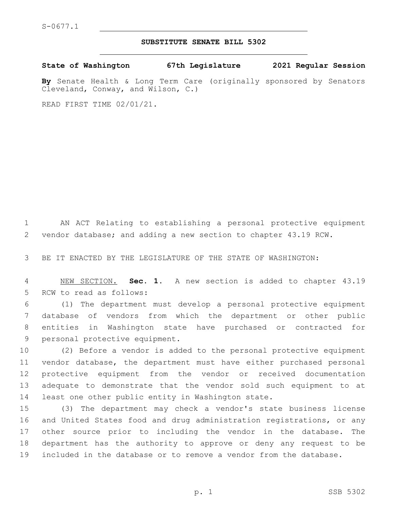## **SUBSTITUTE SENATE BILL 5302**

**State of Washington 67th Legislature 2021 Regular Session**

**By** Senate Health & Long Term Care (originally sponsored by Senators Cleveland, Conway, and Wilson, C.)

READ FIRST TIME 02/01/21.

 AN ACT Relating to establishing a personal protective equipment vendor database; and adding a new section to chapter 43.19 RCW.

BE IT ENACTED BY THE LEGISLATURE OF THE STATE OF WASHINGTON:

 NEW SECTION. **Sec. 1.** A new section is added to chapter 43.19 5 RCW to read as follows:

 (1) The department must develop a personal protective equipment database of vendors from which the department or other public entities in Washington state have purchased or contracted for 9 personal protective equipment.

 (2) Before a vendor is added to the personal protective equipment vendor database, the department must have either purchased personal protective equipment from the vendor or received documentation adequate to demonstrate that the vendor sold such equipment to at least one other public entity in Washington state.

 (3) The department may check a vendor's state business license and United States food and drug administration registrations, or any other source prior to including the vendor in the database. The department has the authority to approve or deny any request to be included in the database or to remove a vendor from the database.